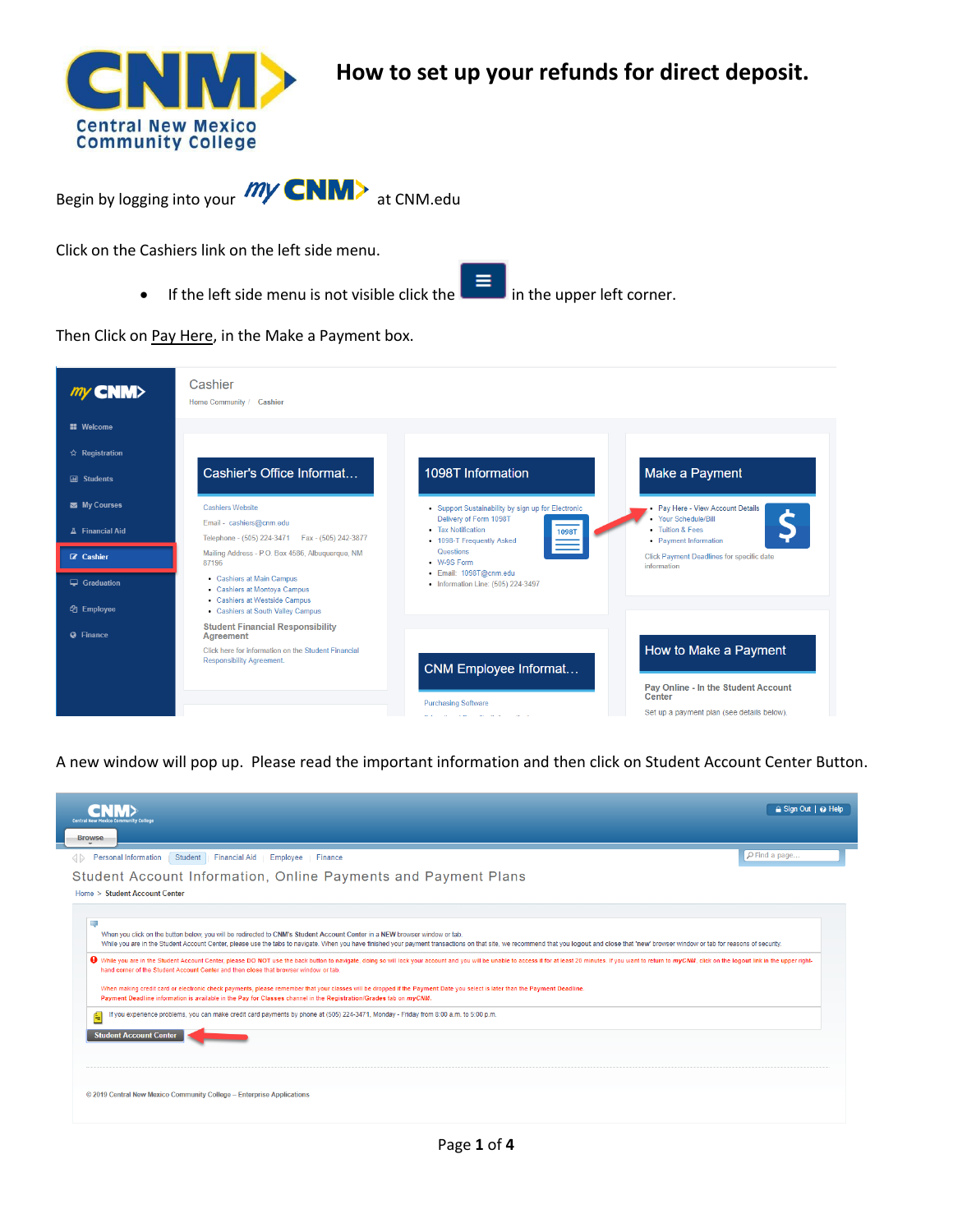

**How to set up your refunds for direct deposit.**

Begin by logging into your  $my$  CNM> at CNM.edu

Click on the Cashiers link on the left side menu.

If the left side menu is not visible click the  $\mathbf{E}$  in the upper left corner.

Then Click on Pay Here, in the Make a Payment box.

| $my$ CNM $>$                               | Cashier<br>Home Community / Cashier                                                                                             |                                                                                                       |                                                                   |
|--------------------------------------------|---------------------------------------------------------------------------------------------------------------------------------|-------------------------------------------------------------------------------------------------------|-------------------------------------------------------------------|
| <b>EE</b> Welcome                          |                                                                                                                                 |                                                                                                       |                                                                   |
| ☆ Registration                             |                                                                                                                                 |                                                                                                       |                                                                   |
| <b>All Students</b>                        | Cashier's Office Informat                                                                                                       | 1098T Information                                                                                     | Make a Payment                                                    |
| My Courses                                 | <b>Cashiers Website</b>                                                                                                         | • Support Sustainability by sign up for Electronic                                                    | • Pay Here - View Account Details                                 |
| Financial Aid                              | Email - cashiers@cnm.edu<br>Telephone - (505) 224-3471<br>Fax - (505) 242-3877                                                  | Delivery of Form 1098T<br>• Tax Notification<br><b>1098T</b><br>$\equiv$<br>• 1098-T Frequently Asked | · Your Schedule/Bill<br>• Tuition & Fees<br>• Payment Information |
| <b>Z</b> Cashier                           | Mailing Address - P.O. Box 4586, Albuquerque, NM<br>87196                                                                       | Questions<br>• W-9S Form                                                                              | Click Payment Deadlines for specific date<br>information          |
| $\Box$ Graduation<br><sup>他</sup> Employee | • Cashiers at Main Campus<br>• Cashiers at Montoya Campus<br>• Cashiers at Westside Campus<br>• Cashiers at South Valley Campus | · Email: 1098T@cnm.edu<br>• Information Line: (505) 224-3497                                          |                                                                   |
| <b>Q</b> Finance                           | <b>Student Financial Responsibility</b><br>Agreement                                                                            |                                                                                                       |                                                                   |
|                                            | Click here for information on the Student Financial<br><b>Responsibility Agreement.</b>                                         | <b>CNM Employee Informat</b>                                                                          | How to Make a Payment                                             |
|                                            |                                                                                                                                 | <b>Purchasing Software</b>                                                                            | Pay Online - In the Student Account<br>Center                     |
|                                            |                                                                                                                                 | man and communication of the<br><b>SALE</b>                                                           | Set up a payment plan (see details below).                        |

A new window will pop up. Please read the important information and then click on Student Account Center Button.

| Central New Mexico Community College                                                                                                                                                                                                                                                                                                                                                                                                                                                                                                                                                                | $\triangle$ Sign Out $\triangle$ $\Theta$ Help |  |  |  |  |
|-----------------------------------------------------------------------------------------------------------------------------------------------------------------------------------------------------------------------------------------------------------------------------------------------------------------------------------------------------------------------------------------------------------------------------------------------------------------------------------------------------------------------------------------------------------------------------------------------------|------------------------------------------------|--|--|--|--|
| <b>Browse</b>                                                                                                                                                                                                                                                                                                                                                                                                                                                                                                                                                                                       |                                                |  |  |  |  |
| <b>Personal Information</b><br>Student Financial Aid   Employee   Finance                                                                                                                                                                                                                                                                                                                                                                                                                                                                                                                           | PFind a page                                   |  |  |  |  |
| Student Account Information, Online Payments and Payment Plans                                                                                                                                                                                                                                                                                                                                                                                                                                                                                                                                      |                                                |  |  |  |  |
| Home > Student Account Center                                                                                                                                                                                                                                                                                                                                                                                                                                                                                                                                                                       |                                                |  |  |  |  |
| u,<br>When you click on the button below, you will be redirected to CNM's Student Account Center in a NEW browser window or tab.<br>While you are in the Student Account Center, please use the tabs to navigate. When you have finished your payment transactions on that site, we recommend that you logout and close that 'new' browser window or tab for reaso<br>♦ While you are in the Student Account Center, please DO NOT use the back button to navigate, doing so will lock your account and you will be unable to access it for at least 20 minutes. If you want to return to myCNM, cl |                                                |  |  |  |  |
| hand corner of the Student Account Center and then close that browser window or tab.<br>When making credit card or electronic check payments, please remember that your classes will be dropped if the Payment Date you select is later than the Payment Deadline.<br>Payment Deadline information is available in the Pay for Classes channel in the Registration/Grades tab on myCNM.<br>If you experience problems, you can make credit card payments by phone at (505) 224-3471, Monday - Friday from 8:00 a.m. to 5:00 p.m.                                                                    |                                                |  |  |  |  |
| <b>Student Account Center</b>                                                                                                                                                                                                                                                                                                                                                                                                                                                                                                                                                                       |                                                |  |  |  |  |
| © 2019 Central New Mexico Community College - Enterprise Applications                                                                                                                                                                                                                                                                                                                                                                                                                                                                                                                               |                                                |  |  |  |  |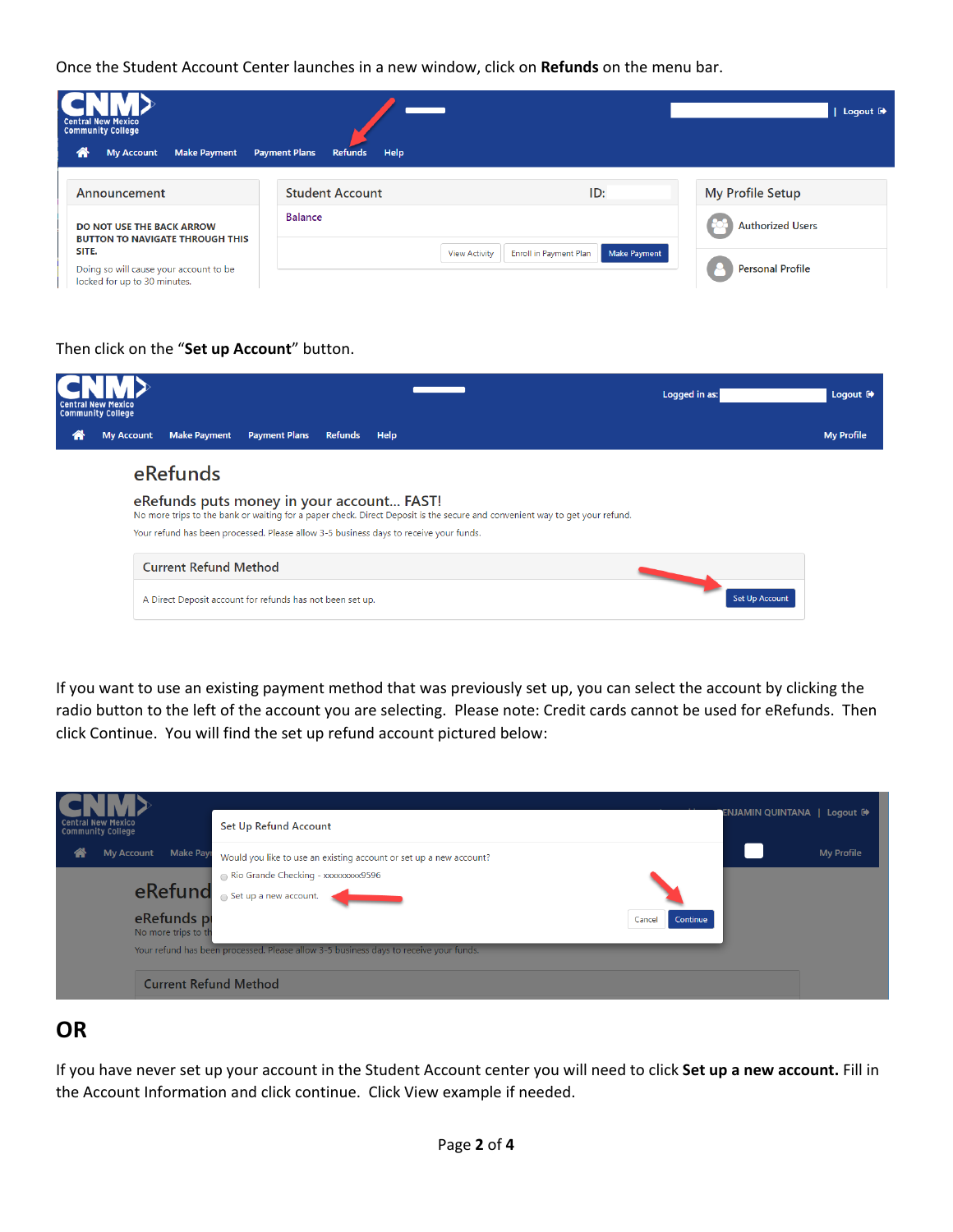Once the Student Account Center launches in a new window, click on **Refunds** on the menu bar.



## Then click on the "**Set up Account**" button.

|   | <b>Central New Mexico</b><br><b>Community College</b>                                                                                                                    |                              |                                                                                       |                |      |  | Logged in as:         | Logout <sup>(*</sup> |
|---|--------------------------------------------------------------------------------------------------------------------------------------------------------------------------|------------------------------|---------------------------------------------------------------------------------------|----------------|------|--|-----------------------|----------------------|
| a | <b>My Account</b>                                                                                                                                                        | <b>Make Payment</b>          | <b>Payment Plans</b>                                                                  | <b>Refunds</b> | Help |  |                       | <b>My Profile</b>    |
|   |                                                                                                                                                                          | eRefunds                     |                                                                                       |                |      |  |                       |                      |
|   | eRefunds puts money in your account FAST!<br>No more trips to the bank or waiting for a paper check. Direct Deposit is the secure and convenient way to get your refund. |                              |                                                                                       |                |      |  |                       |                      |
|   |                                                                                                                                                                          |                              | Your refund has been processed. Please allow 3-5 business days to receive your funds. |                |      |  |                       |                      |
|   |                                                                                                                                                                          | <b>Current Refund Method</b> |                                                                                       |                |      |  |                       |                      |
|   |                                                                                                                                                                          |                              | A Direct Deposit account for refunds has not been set up.                             |                |      |  | <b>Set Up Account</b> |                      |

If you want to use an existing payment method that was previously set up, you can select the account by clicking the radio button to the left of the account you are selecting. Please note: Credit cards cannot be used for eRefunds. Then click Continue. You will find the set up refund account pictured below:

| <b>Central New Mexico</b><br><b>Community College</b>                                      | <b>Set Up Refund Account</b>                                                                                                                                                                                                                                                      | ENJAMIN QUINTANA   Logout <sup>(*</sup> |                   |
|--------------------------------------------------------------------------------------------|-----------------------------------------------------------------------------------------------------------------------------------------------------------------------------------------------------------------------------------------------------------------------------------|-----------------------------------------|-------------------|
| <b>Make Pay</b><br><b>My Account</b><br>m<br>eRefund<br>eRefunds pr<br>No more trips to th | Would you like to use an existing account or set up a new account?<br>Rio Grande Checking - xxxxxxxxx9596<br>Set up a new account.<br>Continue<br>Cancel<br>Your refund has been processed. Please allow 3-5 business days to receive your funds.<br><b>Current Refund Method</b> |                                         | <b>My Profile</b> |

## **OR**

If you have never set up your account in the Student Account center you will need to click **Set up a new account.** Fill in the Account Information and click continue. Click View example if needed.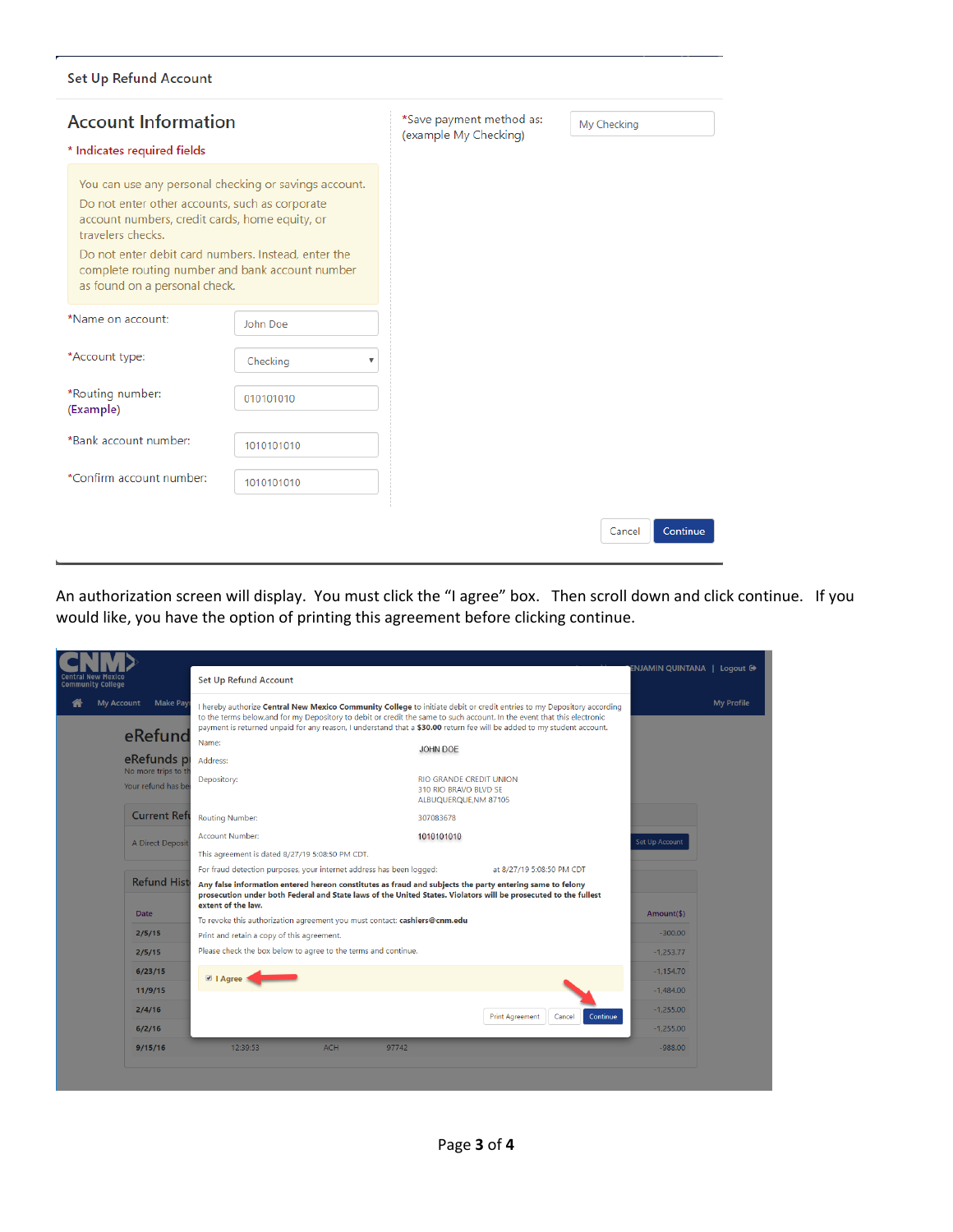## Set Up Refund Account

| <b>Account Information</b><br>* Indicates required fields                                                                                                                                                                                                        |                                                       | *Save payment method as:<br>(example My Checking) |
|------------------------------------------------------------------------------------------------------------------------------------------------------------------------------------------------------------------------------------------------------------------|-------------------------------------------------------|---------------------------------------------------|
| Do not enter other accounts, such as corporate<br>account numbers, credit cards, home equity, or<br>travelers checks.<br>Do not enter debit card numbers. Instead, enter the<br>complete routing number and bank account number<br>as found on a personal check. | You can use any personal checking or savings account. |                                                   |
| *Name on account:                                                                                                                                                                                                                                                | John Doe                                              |                                                   |
| *Account type:                                                                                                                                                                                                                                                   | Checking<br>▼                                         |                                                   |
| *Routing number:<br>(Example)                                                                                                                                                                                                                                    | 010101010                                             |                                                   |
| *Bank account number:                                                                                                                                                                                                                                            | 1010101010                                            |                                                   |
| *Confirm account number:                                                                                                                                                                                                                                         | 1010101010                                            |                                                   |

An authorization screen will display. You must click the "I agree" box. Then scroll down and click continue. If you would like, you have the option of printing this agreement before clicking continue.

|                          |                                           |                                                                                                                                                                                                                                                                                                                                                                                                   |                                                                                  | ENJAMIN QUINTANA   Logout <sup>®</sup> |                   |  |
|--------------------------|-------------------------------------------|---------------------------------------------------------------------------------------------------------------------------------------------------------------------------------------------------------------------------------------------------------------------------------------------------------------------------------------------------------------------------------------------------|----------------------------------------------------------------------------------|----------------------------------------|-------------------|--|
| <b>Community College</b> |                                           | Set Up Refund Account                                                                                                                                                                                                                                                                                                                                                                             |                                                                                  |                                        |                   |  |
| <b>My Account</b>        | <b>Make Payı</b><br>eRefund<br>eRefunds p | I hereby authorize Central New Mexico Community College to initiate debit or credit entries to my Depository according<br>to the terms below, and for my Depository to debit or credit the same to such account. In the event that this electronic<br>payment is returned unpaid for any reason, I understand that a \$30.00 return fee will be added to my student account.<br>Name:<br>Address: | JOHN DOE                                                                         |                                        | <b>My Profile</b> |  |
|                          | No more trips to th<br>Your refund has be | Depository:                                                                                                                                                                                                                                                                                                                                                                                       | <b>RIO GRANDE CREDIT UNION</b><br>310 RIO BRAVO BLVD SE<br>ALBUQUERQUE, NM 87105 |                                        |                   |  |
|                          | <b>Current Reft</b>                       | <b>Routing Number:</b>                                                                                                                                                                                                                                                                                                                                                                            | 307083678                                                                        |                                        |                   |  |
|                          | A Direct Deposit                          | <b>Account Number:</b>                                                                                                                                                                                                                                                                                                                                                                            | 1010101010                                                                       | <b>Set Up Account</b>                  |                   |  |
|                          |                                           | This agreement is dated 8/27/19 5:08:50 PM CDT.                                                                                                                                                                                                                                                                                                                                                   |                                                                                  |                                        |                   |  |
|                          | <b>Refund Hist</b><br><b>Date</b>         | For fraud detection purposes, your internet address has been logged:                                                                                                                                                                                                                                                                                                                              | at 8/27/19 5:08:50 PM CDT                                                        |                                        |                   |  |
|                          |                                           | Any false information entered hereon constitutes as fraud and subjects the party entering same to felony<br>prosecution under both Federal and State laws of the United States. Violators will be prosecuted to the fullest<br>extent of the law.                                                                                                                                                 |                                                                                  |                                        |                   |  |
|                          |                                           | To revoke this authorization agreement you must contact: cashiers@cnm.edu                                                                                                                                                                                                                                                                                                                         |                                                                                  | Amount(\$)                             |                   |  |
|                          | 2/5/15                                    | Print and retain a copy of this agreement.                                                                                                                                                                                                                                                                                                                                                        |                                                                                  | $-300.00$                              |                   |  |
|                          | 2/5/15                                    | Please check the box below to agree to the terms and continue.                                                                                                                                                                                                                                                                                                                                    |                                                                                  | $-1,253.77$                            |                   |  |
|                          | 6/23/15                                   | <b>Ø</b>   Agree                                                                                                                                                                                                                                                                                                                                                                                  |                                                                                  | $-1,154.70$                            |                   |  |
|                          | 11/9/15                                   |                                                                                                                                                                                                                                                                                                                                                                                                   |                                                                                  | $-1,484.00$                            |                   |  |
|                          | 2/4/16                                    |                                                                                                                                                                                                                                                                                                                                                                                                   | Continue<br><b>Print Agreement</b><br>Cancel                                     | $-1,255.00$                            |                   |  |
|                          | 6/2/16                                    |                                                                                                                                                                                                                                                                                                                                                                                                   |                                                                                  | $-1,255.00$                            |                   |  |
|                          | 9/15/16                                   | 12:39:53<br><b>ACH</b><br>97742                                                                                                                                                                                                                                                                                                                                                                   |                                                                                  | $-988.00$                              |                   |  |
|                          |                                           |                                                                                                                                                                                                                                                                                                                                                                                                   |                                                                                  |                                        |                   |  |